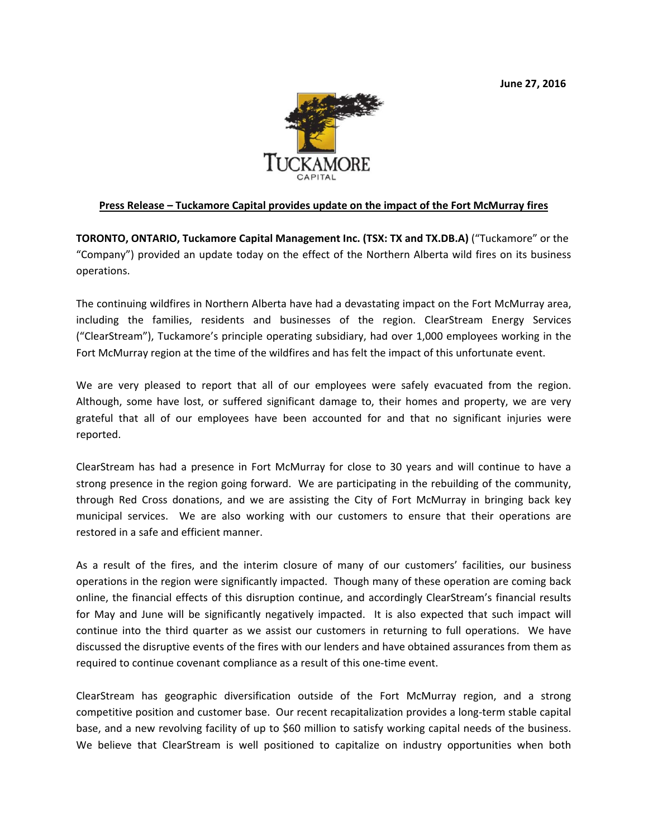

## **Press Release – Tuckamore Capital provides update on the impact of the Fort McMurray fires**

**TORONTO, ONTARIO, Tuckamore Capital Management Inc. (TSX: TX and TX.DB.A)** ("Tuckamore" or the "Company") provided an update today on the effect of the Northern Alberta wild fires on its business operations.

The continuing wildfires in Northern Alberta have had a devastating impact on the Fort McMurray area, including the families, residents and businesses of the region. ClearStream Energy Services ("ClearStream"), Tuckamore's principle operating subsidiary, had over 1,000 employees working in the Fort McMurray region at the time of the wildfires and has felt the impact of this unfortunate event.

We are very pleased to report that all of our employees were safely evacuated from the region. Although, some have lost, or suffered significant damage to, their homes and property, we are very grateful that all of our employees have been accounted for and that no significant injuries were reported.

ClearStream has had a presence in Fort McMurray for close to 30 years and will continue to have a strong presence in the region going forward. We are participating in the rebuilding of the community, through Red Cross donations, and we are assisting the City of Fort McMurray in bringing back key municipal services. We are also working with our customers to ensure that their operations are restored in a safe and efficient manner.

As a result of the fires, and the interim closure of many of our customers' facilities, our business operations in the region were significantly impacted. Though many of these operation are coming back online, the financial effects of this disruption continue, and accordingly ClearStream's financial results for May and June will be significantly negatively impacted. It is also expected that such impact will continue into the third quarter as we assist our customers in returning to full operations. We have discussed the disruptive events of the fires with our lenders and have obtained assurances from them as required to continue covenant compliance as a result of this one-time event.

ClearStream has geographic diversification outside of the Fort McMurray region, and a strong competitive position and customer base. Our recent recapitalization provides a long‐term stable capital base, and a new revolving facility of up to \$60 million to satisfy working capital needs of the business. We believe that ClearStream is well positioned to capitalize on industry opportunities when both